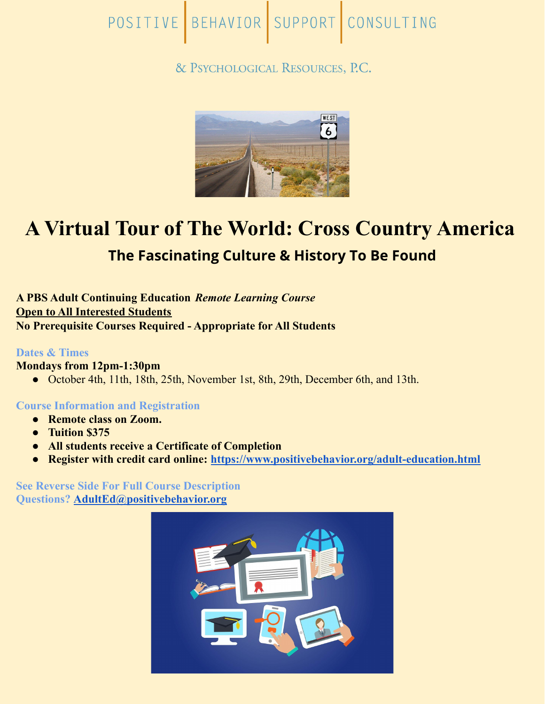# POSITIVE BEHAVIOR SUPPORT CONSULTING

### & PSYCHOLOGICAL RESOURCES, P.C.



## **A Virtual Tour of The World: Cross Country America The Fascinating Culture & History To Be Found**

**A PBS Adult Continuing Education** *Remote Learning Course* **Open to All Interested Students No Prerequisite Courses Required - Appropriate for All Students**

#### **Dates & Times**

#### **Mondays from 12pm-1:30pm**

**●** October 4th, 11th, 18th, 25th, November 1st, 8th, 29th, December 6th, and 13th.

**Course Information and Registration**

- **Remote class on Zoom.**
- **Tuition \$375**
- **All students receive a Certificate of Completion**
- **Register with credit card online: [https://www.positivebehavior.org/adult-education.html](https://www.positivebehavior.org/2021-summer-ace-classes--workshops.html)**

#### **See Reverse Side For Full Course Description Questions? [AdultEd@positivebehavior.org](mailto:AdultEd@positivebehavior.org)**